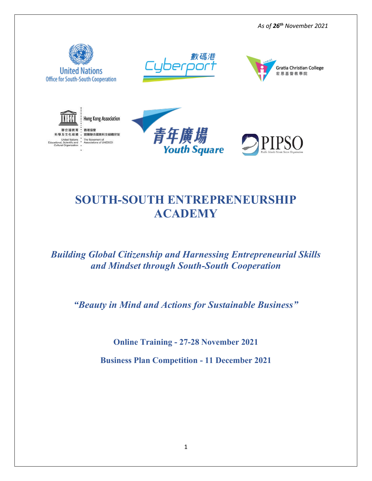











# **SOUTH-SOUTH ENTREPRENEURSHIP ACADEMY**

# *Building Global Citizenship and Harnessing Entrepreneurial Skills and Mindset through South-South Cooperation*

*"Beauty in Mind and Actions for Sustainable Business"*

**Online Training - 27-28 November 2021**

**Business Plan Competition - 11 December 2021**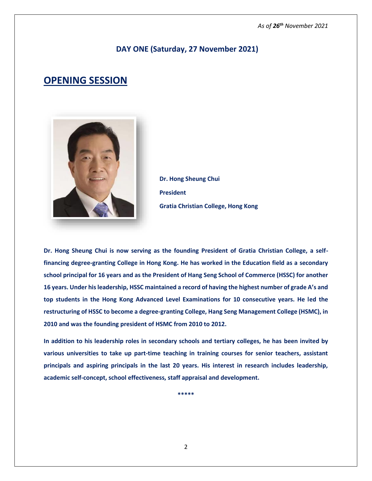### **DAY ONE (Saturday, 27 November 2021)**

# **OPENING SESSION**



**Dr. Hong Sheung Chui President Gratia Christian College, Hong Kong**

**Dr. Hong Sheung Chui is now serving as the founding President of Gratia Christian College, a selffinancing degree-granting College in Hong Kong. He has worked in the Education field as a secondary school principal for 16 years and as the President of Hang Seng School of Commerce (HSSC) for another 16 years. Under his leadership, HSSC maintained a record of having the highest number of grade A's and top students in the Hong Kong Advanced Level Examinations for 10 consecutive years. He led the restructuring of HSSC to become a degree-granting College, Hang Seng Management College (HSMC), in 2010 and was the founding president of HSMC from 2010 to 2012.** 

**In addition to his leadership roles in secondary schools and tertiary colleges, he has been invited by various universities to take up part-time teaching in training courses for senior teachers, assistant principals and aspiring principals in the last 20 years. His interest in research includes leadership, academic self-concept, school effectiveness, staff appraisal and development.**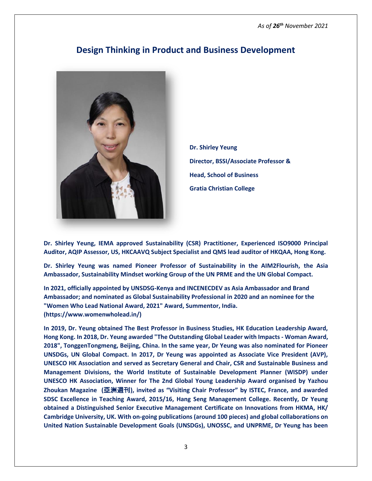

### **Design Thinking in Product and Business Development**

**Dr. Shirley Yeung Director, BSSI/Associate Professor & Head, School of Business Gratia Christian College**

**Dr. Shirley Yeung, IEMA approved Sustainability (CSR) Practitioner, Experienced ISO9000 Principal Auditor, AQIP Assessor, US, HKCAAVQ Subject Specialist and QMS lead auditor of HKQAA, Hong Kong.**

**Dr. Shirley Yeung was named Pioneer Professor of Sustainability in the AIM2Flourish, the Asia Ambassador, Sustainability Mindset working Group of the UN PRME and the UN Global Compact.**

**In 2021, officially appointed by UNSDSG-Kenya and INCENECDEV as Asia Ambassador and Brand Ambassador; and nominated as Global Sustainability Professional in 2020 and an nominee for the "Women Who Lead National Award, 2021" Award, Summentor, India. (https://www.womenwholead.in/)**

**In 2019, Dr. Yeung obtained The Best Professor in Business Studies, HK Education Leadership Award, Hong Kong. In 2018, Dr. Yeung awarded "The Outstanding Global Leader with Impacts - Woman Award, 2018", TonggenTongmeng, Beijing, China. In the same year, Dr Yeung was also nominated for Pioneer UNSDGs, UN Global Compact. In 2017, Dr Yeung was appointed as Associate Vice President (AVP), UNESCO HK Association and served as Secretary General and Chair, CSR and Sustainable Business and Management Divisions, the World Institute of Sustainable Development Planner (WISDP) under UNESCO HK Association, Winner for The 2nd Global Young Leadership Award organised by Yazhou Zhoukan Magazine (**亞洲週刊**), invited as "Visiting Chair Professor" by ISTEC, France, and awarded SDSC Excellence in Teaching Award, 2015/16, Hang Seng Management College. Recently, Dr Yeung obtained a Distinguished Senior Executive Management Certificate on Innovations from HKMA, HK/ Cambridge University, UK. With on-going publications (around 100 pieces) and global collaborations on United Nation Sustainable Development Goals (UNSDGs), UNOSSC, and UNPRME, Dr Yeung has been**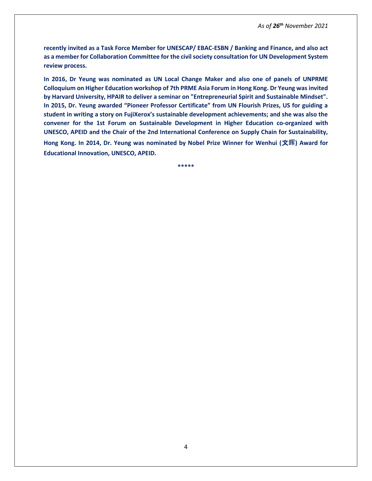**recently invited as a Task Force Member for UNESCAP/ EBAC-ESBN / Banking and Finance, and also act as a member for Collaboration Committee for the civil society consultation for UN Development System review process.**

**In 2016, Dr Yeung was nominated as UN Local Change Maker and also one of panels of UNPRME Colloquium on Higher Education workshop of 7th PRME Asia Forum in Hong Kong. Dr Yeung was invited by Harvard University, HPAIR to deliver a seminar on "Entrepreneurial Spirit and Sustainable Mindset". In 2015, Dr. Yeung awarded "Pioneer Professor Certificate" from UN Flourish Prizes, US for guiding a student in writing a story on FujiXerox's sustainable development achievements; and she was also the convener for the 1st Forum on Sustainable Development in Higher Education co-organized with UNESCO, APEID and the Chair of the 2nd International Conference on Supply Chain for Sustainability,** 

**Hong Kong. In 2014, Dr. Yeung was nominated by Nobel Prize Winner for Wenhui (**文**晖) Award for Educational Innovation, UNESCO, APEID.**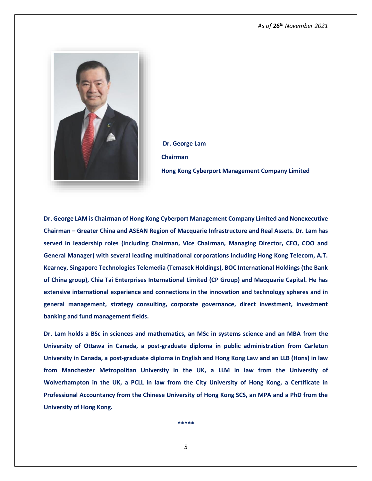

**Dr. George Lam Chairman Hong Kong Cyberport Management Company Limited**

**Dr. George LAM is Chairman of Hong Kong Cyberport Management Company Limited and Nonexecutive Chairman – Greater China and ASEAN Region of Macquarie Infrastructure and Real Assets. Dr. Lam has served in leadership roles (including Chairman, Vice Chairman, Managing Director, CEO, COO and General Manager) with several leading multinational corporations including Hong Kong Telecom, A.T. Kearney, Singapore Technologies Telemedia (Temasek Holdings), BOC International Holdings (the Bank of China group), Chia Tai Enterprises International Limited (CP Group) and Macquarie Capital. He has extensive international experience and connections in the innovation and technology spheres and in general management, strategy consulting, corporate governance, direct investment, investment banking and fund management fields.**

**Dr. Lam holds a BSc in sciences and mathematics, an MSc in systems science and an MBA from the University of Ottawa in Canada, a post-graduate diploma in public administration from Carleton University in Canada, a post-graduate diploma in English and Hong Kong Law and an LLB (Hons) in law from Manchester Metropolitan University in the UK, a LLM in law from the University of Wolverhampton in the UK, a PCLL in law from the City University of Hong Kong, a Certificate in Professional Accountancy from the Chinese University of Hong Kong SCS, an MPA and a PhD from the University of Hong Kong.**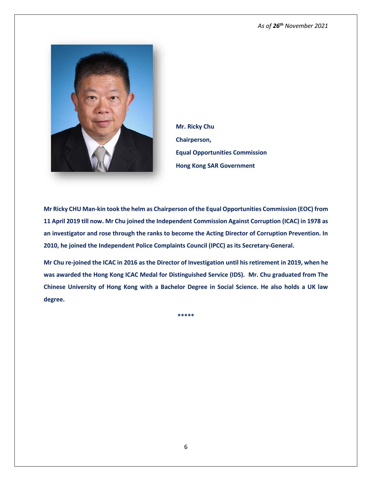

**Mr. Ricky Chu Chairperson, Equal Opportunities Commission Hong Kong SAR Government**

**Mr Ricky CHU Man-kin took the helm as Chairperson of the Equal Opportunities Commission (EOC) from 11 April 2019 till now. Mr Chu joined the Independent Commission Against Corruption (ICAC) in 1978 as an investigator and rose through the ranks to become the Acting Director of Corruption Prevention. In 2010, he joined the Independent Police Complaints Council (IPCC) as its Secretary-General.**

**Mr Chu re-joined the ICAC in 2016 as the Director of Investigation until his retirement in 2019, when he was awarded the Hong Kong ICAC Medal for Distinguished Service (IDS). Mr. Chu graduated from The Chinese University of Hong Kong with a Bachelor Degree in Social Science. He also holds a UK law degree.**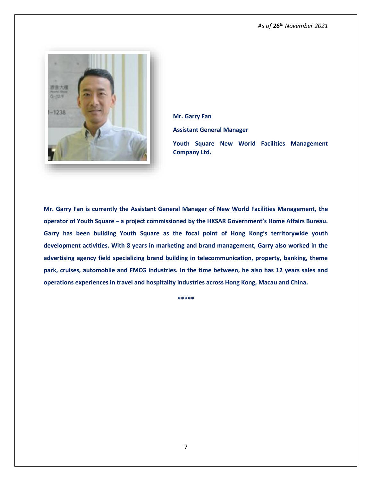

**Mr. Garry Fan**

**Assistant General Manager**

**Youth Square New World Facilities Management Company Ltd.**

**Mr. Garry Fan is currently the Assistant General Manager of New World Facilities Management, the operator of Youth Square – a project commissioned by the HKSAR Government's Home Affairs Bureau. Garry has been building Youth Square as the focal point of Hong Kong's territorywide youth development activities. With 8 years in marketing and brand management, Garry also worked in the advertising agency field specializing brand building in telecommunication, property, banking, theme park, cruises, automobile and FMCG industries. In the time between, he also has 12 years sales and operations experiences in travel and hospitality industries across Hong Kong, Macau and China.**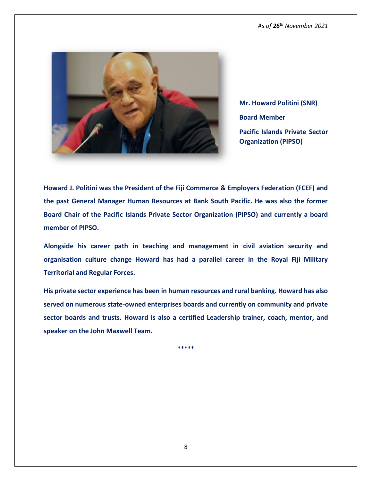

**Mr. Howard Politini (SNR) Board Member Pacific Islands Private Sector Organization (PIPSO)**

**Howard J. Politini was the President of the Fiji Commerce & Employers Federation (FCEF) and the past General Manager Human Resources at Bank South Pacific. He was also the former Board Chair of the Pacific Islands Private Sector Organization (PIPSO) and currently a board member of PIPSO.** 

**Alongside his career path in teaching and management in civil aviation security and organisation culture change Howard has had a parallel career in the Royal Fiji Military Territorial and Regular Forces.** 

**His private sector experience has been in human resources and rural banking. Howard has also served on numerous state-owned enterprises boards and currently on community and private sector boards and trusts. Howard is also a certified Leadership trainer, coach, mentor, and speaker on the John Maxwell Team.**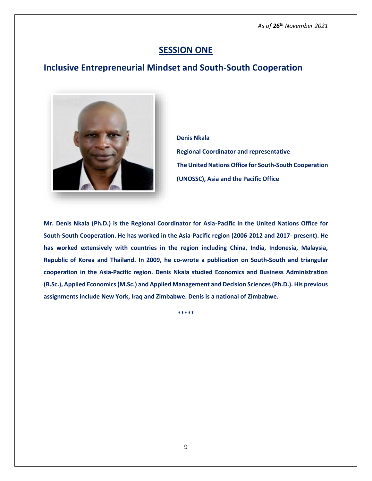### **SESSION ONE**

### **Inclusive Entrepreneurial Mindset and South-South Cooperation**



**Denis Nkala Regional Coordinator and representative The United Nations Office for South-South Cooperation (UNOSSC), Asia and the Pacific Office**

**Mr. Denis Nkala (Ph.D.) is the Regional Coordinator for Asia-Pacific in the United Nations Office for South-South Cooperation. He has worked in the Asia-Pacific region (2006-2012 and 2017- present). He has worked extensively with countries in the region including China, India, Indonesia, Malaysia, Republic of Korea and Thailand. In 2009, he co-wrote a publication on South-South and triangular cooperation in the Asia-Pacific region. Denis Nkala studied Economics and Business Administration (B.Sc.), Applied Economics (M.Sc.) and Applied Management and Decision Sciences (Ph.D.). His previous assignments include New York, Iraq and Zimbabwe. Denis is a national of Zimbabwe.**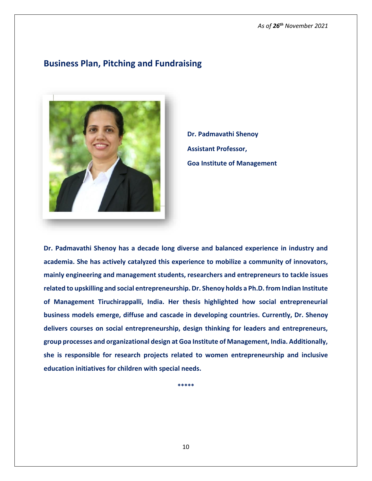### **Business Plan, Pitching and Fundraising**



**Dr. Padmavathi Shenoy Assistant Professor, Goa Institute of Management**

**Dr. Padmavathi Shenoy has a decade long diverse and balanced experience in industry and academia. She has actively catalyzed this experience to mobilize a community of innovators, mainly engineering and management students, researchers and entrepreneurs to tackle issues related to upskilling and social entrepreneurship. Dr. Shenoy holds a Ph.D. from Indian Institute of Management Tiruchirappalli, India. Her thesis highlighted how social entrepreneurial business models emerge, diffuse and cascade in developing countries. Currently, Dr. Shenoy delivers courses on social entrepreneurship, design thinking for leaders and entrepreneurs, group processes and organizational design at Goa Institute of Management, India. Additionally, she is responsible for research projects related to women entrepreneurship and inclusive education initiatives for children with special needs.** 

**\*\*\*\*\***

10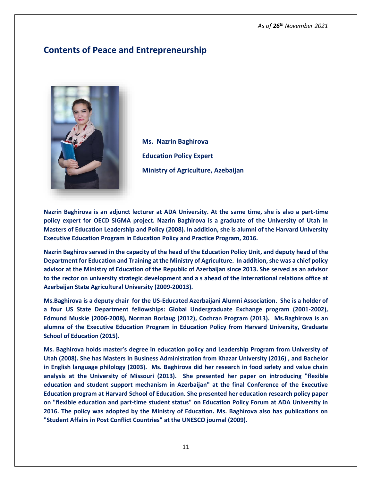## **Contents of Peace and Entrepreneurship**



**Ms. Nazrin Baghirova Education Policy Expert Ministry of Agriculture, Azebaijan** 

**Nazrin Baghirova is an adjunct lecturer at ADA University. At the same time, she is also a part-time policy expert for OECD SIGMA project. Nazrin Baghirova is a graduate of the University of Utah in Masters of Education Leadership and Policy (2008). In addition, she is alumni of the Harvard University Executive Education Program in Education Policy and Practice Program, 2016.**

**Nazrin Baghirov served in the capacity of the head of the Education Policy Unit, and deputy head of the Department for Education and Training at the Ministry of Agriculture. In addition, she was a chief policy advisor at the Ministry of Education of the Republic of Azerbaijan since 2013. She served as an advisor to the rector on university strategic development and a s ahead of the international relations office at Azerbaijan State Agricultural University (2009-20013).**

**Ms.Baghirova is a deputy chair for the US-Educated Azerbaijani Alumni Association. She is a holder of a four US State Department fellowships: Global Undergraduate Exchange program (2001-2002), Edmund Muskie (2006-2008), Norman Borlaug (2012), Cochran Program (2013). Ms.Baghirova is an alumna of the Executive Education Program in Education Policy from Harvard University, Graduate School of Education (2015).** 

**Ms. Baghirova holds master's degree in education policy and Leadership Program from University of Utah (2008). She has Masters in Business Administration from Khazar University (2016) , and Bachelor in English language philology (2003). Ms. Baghirova did her research in food safety and value chain analysis at the University of Missouri (2013). She presented her paper on introducing "flexible education and student support mechanism in Azerbaijan" at the final Conference of the Executive Education program at Harvard School of Education. She presented her education research policy paper on "flexible education and part-time student status" on Education Policy Forum at ADA University in 2016. The policy was adopted by the Ministry of Education. Ms. Baghirova also has publications on "Student Affairs in Post Conflict Countries" at the UNESCO journal (2009).**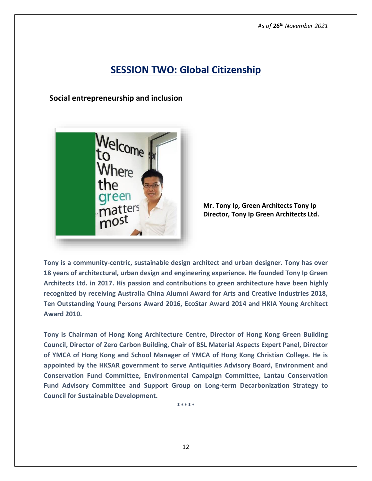# **SESSION TWO: Global Citizenship**

 **Social entrepreneurship and inclusion**



**Mr. Tony Ip, Green Architects Tony Ip Director, Tony Ip Green Architects Ltd.**

**Tony is a community-centric, sustainable design architect and urban designer. Tony has over 18 years of architectural, urban design and engineering experience. He founded Tony Ip Green Architects Ltd. in 2017. His passion and contributions to green architecture have been highly recognized by receiving Australia China Alumni Award for Arts and Creative Industries 2018, Ten Outstanding Young Persons Award 2016, EcoStar Award 2014 and HKIA Young Architect Award 2010.** 

**Tony is Chairman of Hong Kong Architecture Centre, Director of Hong Kong Green Building Council, Director of Zero Carbon Building, Chair of BSL Material Aspects Expert Panel, Director of YMCA of Hong Kong and School Manager of YMCA of Hong Kong Christian College. He is appointed by the HKSAR government to serve Antiquities Advisory Board, Environment and Conservation Fund Committee, Environmental Campaign Committee, Lantau Conservation Fund Advisory Committee and Support Group on Long-term Decarbonization Strategy to Council for Sustainable Development.**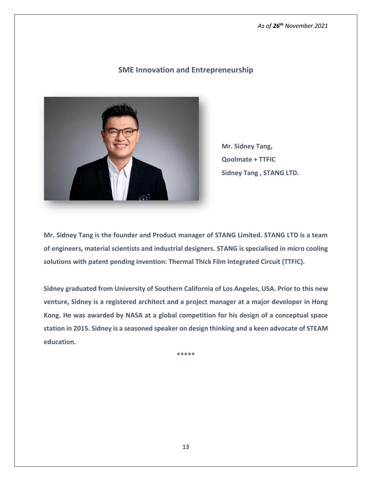

**SME Innovation and Entrepreneurship**

**Mr. Sidney Tang, Qoolmate + TTFIC Sidney Tang , STANG LTD.**

**Mr. Sidney Tang is the founder and Product manager of STANG Limited. STANG LTD is a team of engineers, material scientists and industrial designers. STANG is specialised in micro cooling solutions with patent pending invention: Thermal Thick Film Integrated Circuit (TTFIC).**

**Sidney graduated from University of Southern California of Los Angeles, USA. Prior to this new venture, Sidney is a registered architect and a project manager at a major developer in Hong Kong. He was awarded by NASA at a global competition for his design of a conceptual space station in 2015. Sidney is a seasoned speaker on design thinking and a keen advocate of STEAM education.**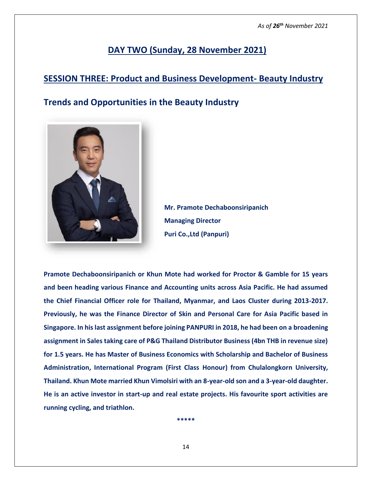# **DAY TWO (Sunday, 28 November 2021)**

## **SESSION THREE: Product and Business Development- Beauty Industry**

# **Trends and Opportunities in the Beauty Industry**



**Mr. Pramote Dechaboonsiripanich Managing Director Puri Co.,Ltd (Panpuri)**

**Pramote Dechaboonsiripanich or Khun Mote had worked for Proctor & Gamble for 15 years and been heading various Finance and Accounting units across Asia Pacific. He had assumed the Chief Financial Officer role for Thailand, Myanmar, and Laos Cluster during 2013-2017. Previously, he was the Finance Director of Skin and Personal Care for Asia Pacific based in Singapore. In his last assignment before joining PANPURI in 2018, he had been on a broadening assignment in Sales taking care of P&G Thailand Distributor Business (4bn THB in revenue size) for 1.5 years. He has Master of Business Economics with Scholarship and Bachelor of Business Administration, International Program (First Class Honour) from Chulalongkorn University, Thailand. Khun Mote married Khun Vimolsiri with an 8-year-old son and a 3-year-old daughter. He is an active investor in start-up and real estate projects. His favourite sport activities are running cycling, and triathlon.**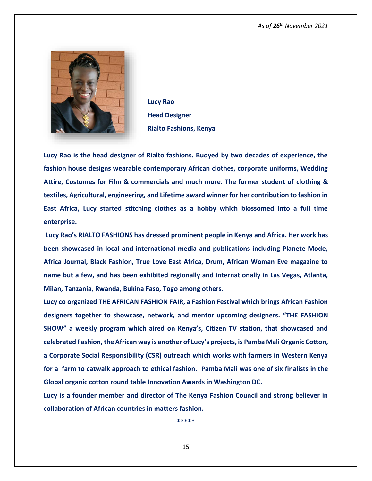

**Lucy Rao Head Designer Rialto Fashions, Kenya**

**Lucy Rao is the head designer of Rialto fashions. Buoyed by two decades of experience, the fashion house designs wearable contemporary African clothes, corporate uniforms, Wedding Attire, Costumes for Film & commercials and much more. The former student of clothing & textiles, Agricultural, engineering, and Lifetime award winner for her contribution to fashion in East Africa, Lucy started stitching clothes as a hobby which blossomed into a full time enterprise.** 

**Lucy Rao's RIALTO FASHIONS has dressed prominent people in Kenya and Africa. Her work has been showcased in local and international media and publications including Planete Mode, Africa Journal, Black Fashion, True Love East Africa, Drum, African Woman Eve magazine to name but a few, and has been exhibited regionally and internationally in Las Vegas, Atlanta, Milan, Tanzania, Rwanda, Bukina Faso, Togo among others.**

**Lucy co organized THE AFRICAN FASHION FAIR, a Fashion Festival which brings African Fashion designers together to showcase, network, and mentor upcoming designers. "THE FASHION SHOW" a weekly program which aired on Kenya's, Citizen TV station, that showcased and celebrated Fashion, the African way is another of Lucy's projects, is Pamba Mali Organic Cotton, a Corporate Social Responsibility (CSR) outreach which works with farmers in Western Kenya for a farm to catwalk approach to ethical fashion. Pamba Mali was one of six finalists in the Global organic cotton round table Innovation Awards in Washington DC.** 

**Lucy is a founder member and director of The Kenya Fashion Council and strong believer in collaboration of African countries in matters fashion.**

**\*\*\*\*\***

15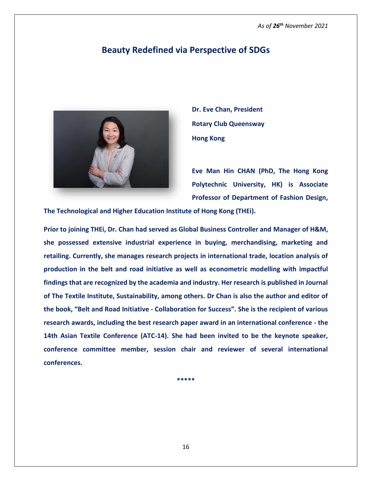### **Beauty Redefined via Perspective of SDGs**



**Dr. Eve Chan, President Rotary Club Queensway Hong Kong** 

**Eve Man Hin CHAN (PhD, The Hong Kong Polytechnic University, HK) is Associate Professor of Department of Fashion Design,** 

**The Technological and Higher Education Institute of Hong Kong (THEi).**

**Prior to joining THEi, Dr. Chan had served as Global Business Controller and Manager of H&M, she possessed extensive industrial experience in buying, merchandising, marketing and retailing. Currently, she manages research projects in international trade, location analysis of production in the belt and road initiative as well as econometric modelling with impactful findings that are recognized by the academia and industry. Her research is published in Journal of The Textile Institute, Sustainability, among others. Dr Chan is also the author and editor of the book, "Belt and Road Initiative - Collaboration for Success". She is the recipient of various research awards, including the best research paper award in an international conference - the 14th Asian Textile Conference (ATC-14). She had been invited to be the keynote speaker, conference committee member, session chair and reviewer of several international conferences.**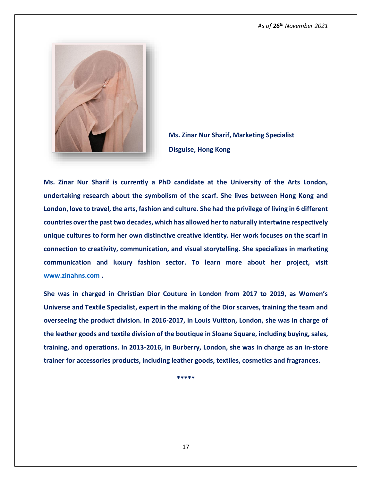

**Ms. Zinar Nur Sharif, Marketing Specialist Disguise, Hong Kong**

**Ms. Zinar Nur Sharif is currently a PhD candidate at the University of the Arts London, undertaking research about the symbolism of the scarf. She lives between Hong Kong and London, love to travel, the arts, fashion and culture. She had the privilege of living in 6 different countries over the past two decades, which has allowed her to naturally intertwine respectively unique cultures to form her own distinctive creative identity. Her work focuses on the scarf in connection to creativity, communication, and visual storytelling. She specializes in marketing communication and luxury fashion sector. To learn more about her project, visit [www.zinahns.com](http://www.zinahns.com/) .**

**She was in charged in Christian Dior Couture in London from 2017 to 2019, as Women's Universe and Textile Specialist, expert in the making of the Dior scarves, training the team and overseeing the product division. In 2016-2017, in Louis Vuitton, London, she was in charge of the leather goods and textile division of the boutique in Sloane Square, including buying, sales, training, and operations. In 2013-2016, in Burberry, London, she was in charge as an in-store trainer for accessories products, including leather goods, textiles, cosmetics and fragrances.**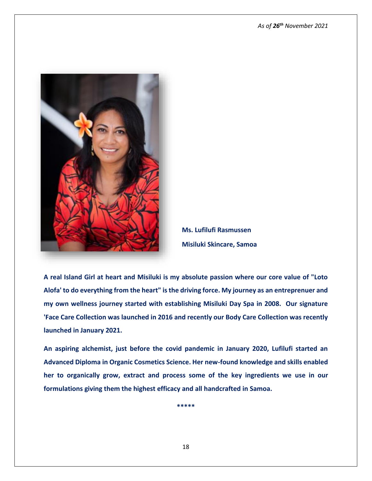

**Ms. Lufilufi Rasmussen Misiluki Skincare, Samoa**

**A real Island Girl at heart and Misiluki is my absolute passion where our core value of "Loto Alofa' to do everything from the heart" is the driving force. My journey as an entreprenuer and my own wellness journey started with establishing Misiluki Day Spa in 2008. Our signature 'Face Care Collection was launched in 2016 and recently our Body Care Collection was recently launched in January 2021.**

**An aspiring alchemist, just before the covid pandemic in January 2020, Lufilufi started an Advanced Diploma in Organic Cosmetics Science. Her new-found knowledge and skills enabled her to organically grow, extract and process some of the key ingredients we use in our formulations giving them the highest efficacy and all handcrafted in Samoa.**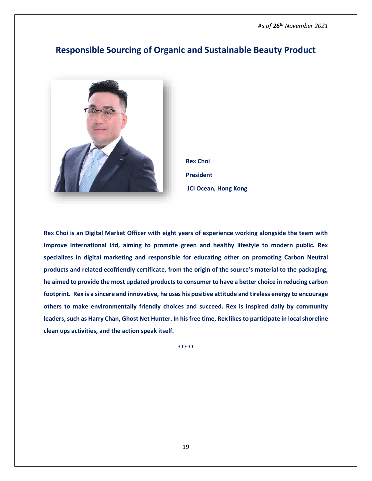### **Responsible Sourcing of Organic and Sustainable Beauty Product**



**Rex Choi President JCI Ocean, Hong Kong**

**Rex Choi is an Digital Market Officer with eight years of experience working alongside the team with Improve International Ltd, aiming to promote green and healthy lifestyle to modern public. Rex specializes in digital marketing and responsible for educating other on promoting Carbon Neutral products and related ecofriendly certificate, from the origin of the source's material to the packaging, he aimed to provide the most updated products to consumer to have a better choice in reducing carbon footprint. Rex is a sincere and innovative, he uses his positive attitude and tireless energy to encourage others to make environmentally friendly choices and succeed. Rex is inspired daily by community leaders, such as Harry Chan, Ghost Net Hunter. In his free time, Rex likes to participate in local shoreline clean ups activities, and the action speak itself.**

**\*\*\*\*\***

19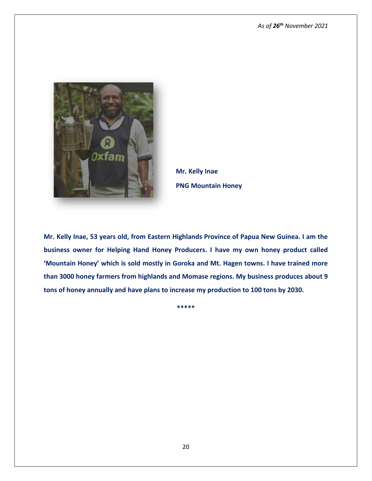

**Mr. Kelly Inae PNG Mountain Honey** 

**Mr. Kelly Inae, 53 years old, from Eastern Highlands Province of Papua New Guinea. I am the business owner for Helping Hand Honey Producers. I have my own honey product called 'Mountain Honey' which is sold mostly in Goroka and Mt. Hagen towns. I have trained more than 3000 honey farmers from highlands and Momase regions. My business produces about 9 tons of honey annually and have plans to increase my production to 100 tons by 2030.**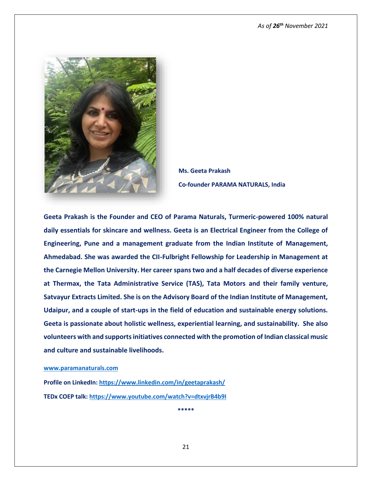

**Ms. Geeta Prakash Co-founder PARAMA NATURALS, India**

**Geeta Prakash is the Founder and CEO of Parama Naturals, Turmeric-powered 100% natural daily essentials for skincare and wellness. Geeta is an Electrical Engineer from the College of Engineering, Pune and a management graduate from the Indian Institute of Management, Ahmedabad. She was awarded the CII-Fulbright Fellowship for Leadership in Management at the Carnegie Mellon University. Her career spans two and a half decades of diverse experience at Thermax, the Tata Administrative Service (TAS), Tata Motors and their family venture, Satvayur Extracts Limited. She is on the Advisory Board of the Indian Institute of Management, Udaipur, and a couple of start-ups in the field of education and sustainable energy solutions. Geeta is passionate about holistic wellness, experiential learning, and sustainability. She also volunteers with and supports initiatives connected with the promotion of Indian classical music and culture and sustainable livelihoods.**

#### **[www.paramanaturals.com](http://www.paramanaturals.com/)**

**Profile on LinkedIn:<https://www.linkedin.com/in/geetaprakash/> TEDx COEP talk:<https://www.youtube.com/watch?v=dtxvjrB4b9I>**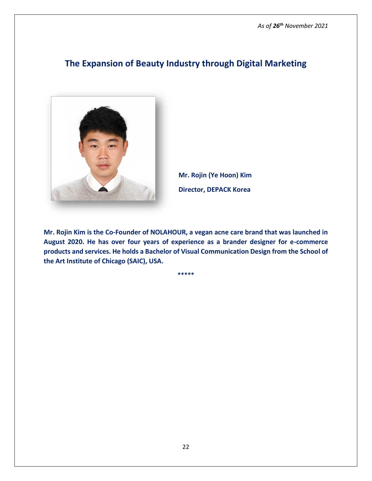# **The Expansion of Beauty Industry through Digital Marketing**



**Mr. Rojin (Ye Hoon) Kim Director, DEPACK Korea**

**Mr. Rojin Kim is the Co-Founder of NOLAHOUR, a vegan acne care brand that was launched in August 2020. He has over four years of experience as a brander designer for e-commerce products and services. He holds a Bachelor of Visual Communication Design from the School of the Art Institute of Chicago (SAIC), USA.**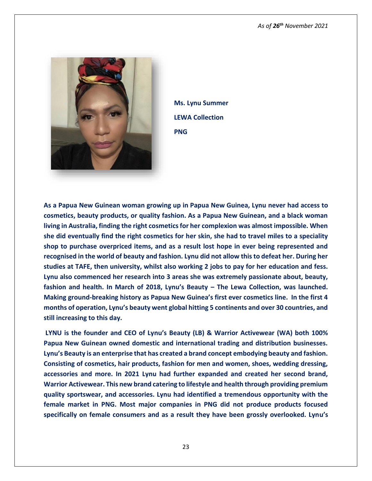

**Ms. Lynu Summer LEWA Collection PNG** 

**As a Papua New Guinean woman growing up in Papua New Guinea, Lynu never had access to cosmetics, beauty products, or quality fashion. As a Papua New Guinean, and a black woman living in Australia, finding the right cosmetics for her complexion was almost impossible. When she did eventually find the right cosmetics for her skin, she had to travel miles to a speciality shop to purchase overpriced items, and as a result lost hope in ever being represented and recognised in the world of beauty and fashion. Lynu did not allow this to defeat her. During her studies at TAFE, then university, whilst also working 2 jobs to pay for her education and fess. Lynu also commenced her research into 3 areas she was extremely passionate about, beauty, fashion and health. In March of 2018, Lynu's Beauty – The Lewa Collection, was launched. Making ground-breaking history as Papua New Guinea's first ever cosmetics line. In the first 4 months of operation, Lynu's beauty went global hitting 5 continents and over 30 countries, and still increasing to this day.** 

**LYNU is the founder and CEO of Lynu's Beauty (LB) & Warrior Activewear (WA) both 100% Papua New Guinean owned domestic and international trading and distribution businesses. Lynu's Beauty is an enterprise that has created a brand concept embodying beauty and fashion. Consisting of cosmetics, hair products, fashion for men and women, shoes, wedding dressing, accessories and more. In 2021 Lynu had further expanded and created her second brand, Warrior Activewear. This new brand catering to lifestyle and health through providing premium quality sportswear, and accessories. Lynu had identified a tremendous opportunity with the female market in PNG. Most major companies in PNG did not produce products focused specifically on female consumers and as a result they have been grossly overlooked. Lynu's**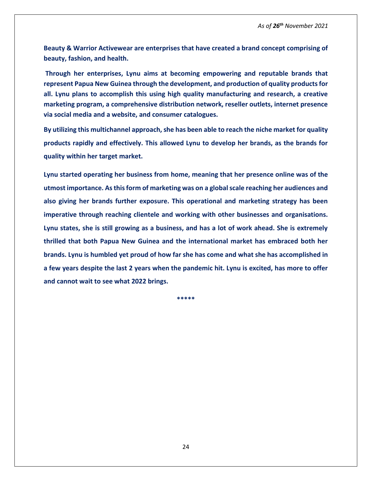**Beauty & Warrior Activewear are enterprises that have created a brand concept comprising of beauty, fashion, and health.** 

**Through her enterprises, Lynu aims at becoming empowering and reputable brands that represent Papua New Guinea through the development, and production of quality products for all. Lynu plans to accomplish this using high quality manufacturing and research, a creative marketing program, a comprehensive distribution network, reseller outlets, internet presence via social media and a website, and consumer catalogues.** 

**By utilizing this multichannel approach, she has been able to reach the niche market for quality products rapidly and effectively. This allowed Lynu to develop her brands, as the brands for quality within her target market.**

**Lynu started operating her business from home, meaning that her presence online was of the utmost importance. As this form of marketing was on a global scale reaching her audiences and also giving her brands further exposure. This operational and marketing strategy has been imperative through reaching clientele and working with other businesses and organisations. Lynu states, she is still growing as a business, and has a lot of work ahead. She is extremely thrilled that both Papua New Guinea and the international market has embraced both her brands. Lynu is humbled yet proud of how far she has come and what she has accomplished in a few years despite the last 2 years when the pandemic hit. Lynu is excited, has more to offer and cannot wait to see what 2022 brings.**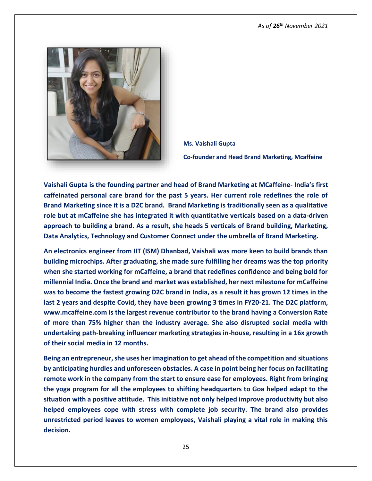

**Ms. Vaishali Gupta Co-founder and Head Brand Marketing, Mcaffeine**

**Vaishali Gupta is the founding partner and head of Brand Marketing at MCaffeine- India's first caffeinated personal care brand for the past 5 years. Her current role redefines the role of Brand Marketing since it is a D2C brand. Brand Marketing is traditionally seen as a qualitative role but at mCaffeine she has integrated it with quantitative verticals based on a data-driven approach to building a brand. As a result, she heads 5 verticals of Brand building, Marketing, Data Analytics, Technology and Customer Connect under the umbrella of Brand Marketing.**

**An electronics engineer from IIT (ISM) Dhanbad, Vaishali was more keen to build brands than building microchips. After graduating, she made sure fulfilling her dreams was the top priority when she started working for mCaffeine, a brand that redefines confidence and being bold for millennial India. Once the brand and market was established, her next milestone for mCaffeine was to become the fastest growing D2C brand in India, as a result it has grown 12 times in the last 2 years and despite Covid, they have been growing 3 times in FY20-21. The D2C platform, www.mcaffeine.com is the largest revenue contributor to the brand having a Conversion Rate of more than 75% higher than the industry average. She also disrupted social media with undertaking path-breaking influencer marketing strategies in-house, resulting in a 16x growth of their social media in 12 months.**

**Being an entrepreneur, she uses her imagination to get ahead of the competition and situations by anticipating hurdles and unforeseen obstacles. A case in point being her focus on facilitating remote work in the company from the start to ensure ease for employees. Right from bringing the yoga program for all the employees to shifting headquarters to Goa helped adapt to the situation with a positive attitude. This initiative not only helped improve productivity but also helped employees cope with stress with complete job security. The brand also provides unrestricted period leaves to women employees, Vaishali playing a vital role in making this decision.**